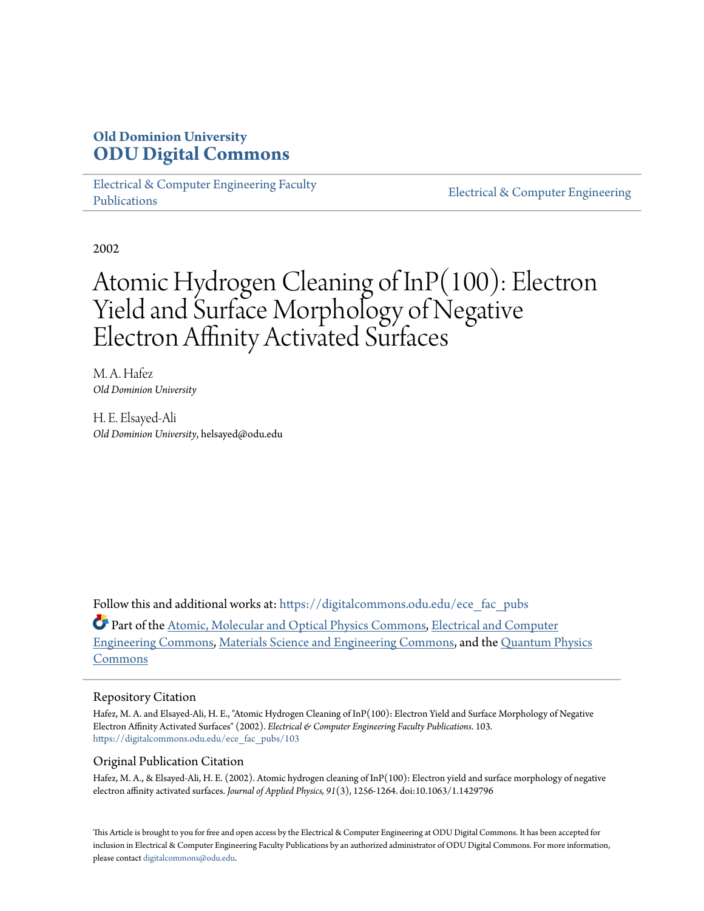# **Old Dominion University [ODU Digital Commons](https://digitalcommons.odu.edu?utm_source=digitalcommons.odu.edu%2Fece_fac_pubs%2F103&utm_medium=PDF&utm_campaign=PDFCoverPages)**

[Electrical & Computer Engineering Faculty](https://digitalcommons.odu.edu/ece_fac_pubs?utm_source=digitalcommons.odu.edu%2Fece_fac_pubs%2F103&utm_medium=PDF&utm_campaign=PDFCoverPages) [Publications](https://digitalcommons.odu.edu/ece_fac_pubs?utm_source=digitalcommons.odu.edu%2Fece_fac_pubs%2F103&utm_medium=PDF&utm_campaign=PDFCoverPages)

[Electrical & Computer Engineering](https://digitalcommons.odu.edu/ece?utm_source=digitalcommons.odu.edu%2Fece_fac_pubs%2F103&utm_medium=PDF&utm_campaign=PDFCoverPages)

2002

# Atomic Hydrogen Cleaning of InP(100): Electron Yield and Surface Morphology of Negative Electron Affinity Activated Surfaces

M. A. Hafez *Old Dominion University*

H. E. Elsayed-Ali *Old Dominion University*, helsayed@odu.edu

Follow this and additional works at: [https://digitalcommons.odu.edu/ece\\_fac\\_pubs](https://digitalcommons.odu.edu/ece_fac_pubs?utm_source=digitalcommons.odu.edu%2Fece_fac_pubs%2F103&utm_medium=PDF&utm_campaign=PDFCoverPages)

Part of the [Atomic, Molecular and Optical Physics Commons,](http://network.bepress.com/hgg/discipline/195?utm_source=digitalcommons.odu.edu%2Fece_fac_pubs%2F103&utm_medium=PDF&utm_campaign=PDFCoverPages) [Electrical and Computer](http://network.bepress.com/hgg/discipline/266?utm_source=digitalcommons.odu.edu%2Fece_fac_pubs%2F103&utm_medium=PDF&utm_campaign=PDFCoverPages) [Engineering Commons,](http://network.bepress.com/hgg/discipline/266?utm_source=digitalcommons.odu.edu%2Fece_fac_pubs%2F103&utm_medium=PDF&utm_campaign=PDFCoverPages) [Materials Science and Engineering Commons](http://network.bepress.com/hgg/discipline/285?utm_source=digitalcommons.odu.edu%2Fece_fac_pubs%2F103&utm_medium=PDF&utm_campaign=PDFCoverPages), and the [Quantum Physics](http://network.bepress.com/hgg/discipline/206?utm_source=digitalcommons.odu.edu%2Fece_fac_pubs%2F103&utm_medium=PDF&utm_campaign=PDFCoverPages) [Commons](http://network.bepress.com/hgg/discipline/206?utm_source=digitalcommons.odu.edu%2Fece_fac_pubs%2F103&utm_medium=PDF&utm_campaign=PDFCoverPages)

# Repository Citation

Hafez, M. A. and Elsayed-Ali, H. E., "Atomic Hydrogen Cleaning of InP(100): Electron Yield and Surface Morphology of Negative Electron Affinity Activated Surfaces" (2002). *Electrical & Computer Engineering Faculty Publications*. 103. [https://digitalcommons.odu.edu/ece\\_fac\\_pubs/103](https://digitalcommons.odu.edu/ece_fac_pubs/103?utm_source=digitalcommons.odu.edu%2Fece_fac_pubs%2F103&utm_medium=PDF&utm_campaign=PDFCoverPages)

# Original Publication Citation

Hafez, M. A., & Elsayed-Ali, H. E. (2002). Atomic hydrogen cleaning of InP(100): Electron yield and surface morphology of negative electron affinity activated surfaces. *Journal of Applied Physics, 91*(3), 1256-1264. doi:10.1063/1.1429796

This Article is brought to you for free and open access by the Electrical & Computer Engineering at ODU Digital Commons. It has been accepted for inclusion in Electrical & Computer Engineering Faculty Publications by an authorized administrator of ODU Digital Commons. For more information, please contact [digitalcommons@odu.edu](mailto:digitalcommons@odu.edu).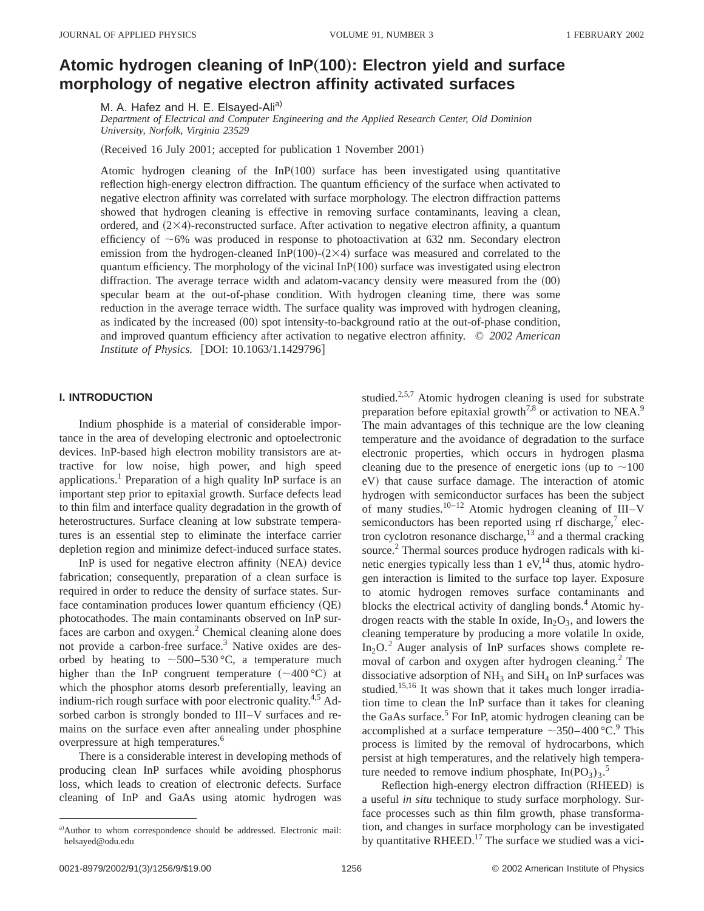# **Atomic hydrogen cleaning of InP**"**100**…**: Electron yield and surface morphology of negative electron affinity activated surfaces**

M. A. Hafez and H. E. Elsayed-Ali<sup>a)</sup>

*Department of Electrical and Computer Engineering and the Applied Research Center, Old Dominion University, Norfolk, Virginia 23529*

(Received 16 July 2001; accepted for publication 1 November 2001)

Atomic hydrogen cleaning of the  $InP(100)$  surface has been investigated using quantitative reflection high-energy electron diffraction. The quantum efficiency of the surface when activated to negative electron affinity was correlated with surface morphology. The electron diffraction patterns showed that hydrogen cleaning is effective in removing surface contaminants, leaving a clean, ordered, and  $(2\times4)$ -reconstructed surface. After activation to negative electron affinity, a quantum efficiency of  $~6\%$  was produced in response to photoactivation at 632 nm. Secondary electron emission from the hydrogen-cleaned InP $(100)-(2\times4)$  surface was measured and correlated to the quantum efficiency. The morphology of the vicinal  $InP(100)$  surface was investigated using electron diffraction. The average terrace width and adatom-vacancy density were measured from the  $(00)$ specular beam at the out-of-phase condition. With hydrogen cleaning time, there was some reduction in the average terrace width. The surface quality was improved with hydrogen cleaning, as indicated by the increased  $(00)$  spot intensity-to-background ratio at the out-of-phase condition, and improved quantum efficiency after activation to negative electron affinity. © *2002 American Institute of Physics.* [DOI: 10.1063/1.1429796]

## **I. INTRODUCTION**

Indium phosphide is a material of considerable importance in the area of developing electronic and optoelectronic devices. InP-based high electron mobility transistors are attractive for low noise, high power, and high speed applications.1 Preparation of a high quality InP surface is an important step prior to epitaxial growth. Surface defects lead to thin film and interface quality degradation in the growth of heterostructures. Surface cleaning at low substrate temperatures is an essential step to eliminate the interface carrier depletion region and minimize defect-induced surface states.

InP is used for negative electron affinity  $(NEA)$  device fabrication; consequently, preparation of a clean surface is required in order to reduce the density of surface states. Surface contamination produces lower quantum efficiency  $(QE)$ photocathodes. The main contaminants observed on InP surfaces are carbon and oxygen.<sup>2</sup> Chemical cleaning alone does not provide a carbon-free surface.3 Native oxides are desorbed by heating to  $\sim$  500–530 °C, a temperature much higher than the InP congruent temperature  $({\sim}400^{\circ}C)$  at which the phosphor atoms desorb preferentially, leaving an indium-rich rough surface with poor electronic quality.<sup>4,5</sup> Adsorbed carbon is strongly bonded to III–V surfaces and remains on the surface even after annealing under phosphine overpressure at high temperatures.<sup>6</sup>

There is a considerable interest in developing methods of producing clean InP surfaces while avoiding phosphorus loss, which leads to creation of electronic defects. Surface cleaning of InP and GaAs using atomic hydrogen was

studied. $2,5,7$  Atomic hydrogen cleaning is used for substrate preparation before epitaxial growth<sup>7,8</sup> or activation to NEA.<sup>9</sup> The main advantages of this technique are the low cleaning temperature and the avoidance of degradation to the surface electronic properties, which occurs in hydrogen plasma cleaning due to the presence of energetic ions (up to  $\sim$ 100 eV) that cause surface damage. The interaction of atomic hydrogen with semiconductor surfaces has been the subject of many studies.<sup>10–12</sup> Atomic hydrogen cleaning of  $III-V$ semiconductors has been reported using rf discharge, $7$  electron cyclotron resonance discharge, $^{13}$  and a thermal cracking source.<sup>2</sup> Thermal sources produce hydrogen radicals with kinetic energies typically less than  $1 \text{ eV}$ ,<sup>14</sup> thus, atomic hydrogen interaction is limited to the surface top layer. Exposure to atomic hydrogen removes surface contaminants and blocks the electrical activity of dangling bonds.<sup>4</sup> Atomic hydrogen reacts with the stable In oxide,  $In_2O_3$ , and lowers the cleaning temperature by producing a more volatile In oxide,  $In_2O<sup>2</sup>$  Auger analysis of InP surfaces shows complete removal of carbon and oxygen after hydrogen cleaning.<sup>2</sup> The dissociative adsorption of  $NH_3$  and  $SiH_4$  on InP surfaces was studied.<sup>15,16</sup> It was shown that it takes much longer irradiation time to clean the InP surface than it takes for cleaning the GaAs surface.<sup>5</sup> For InP, atomic hydrogen cleaning can be accomplished at a surface temperature  $\sim$ 350–400 °C.<sup>9</sup> This process is limited by the removal of hydrocarbons, which persist at high temperatures, and the relatively high temperature needed to remove indium phosphate,  $In(PO<sub>3</sub>)<sub>3</sub>$ .<sup>5</sup>

Reflection high-energy electron diffraction (RHEED) is a useful *in situ* technique to study surface morphology. Surface processes such as thin film growth, phase transformation, and changes in surface morphology can be investigated by quantitative RHEED.<sup>17</sup> The surface we studied was a vici-

a)Author to whom correspondence should be addressed. Electronic mail: helsayed@odu.edu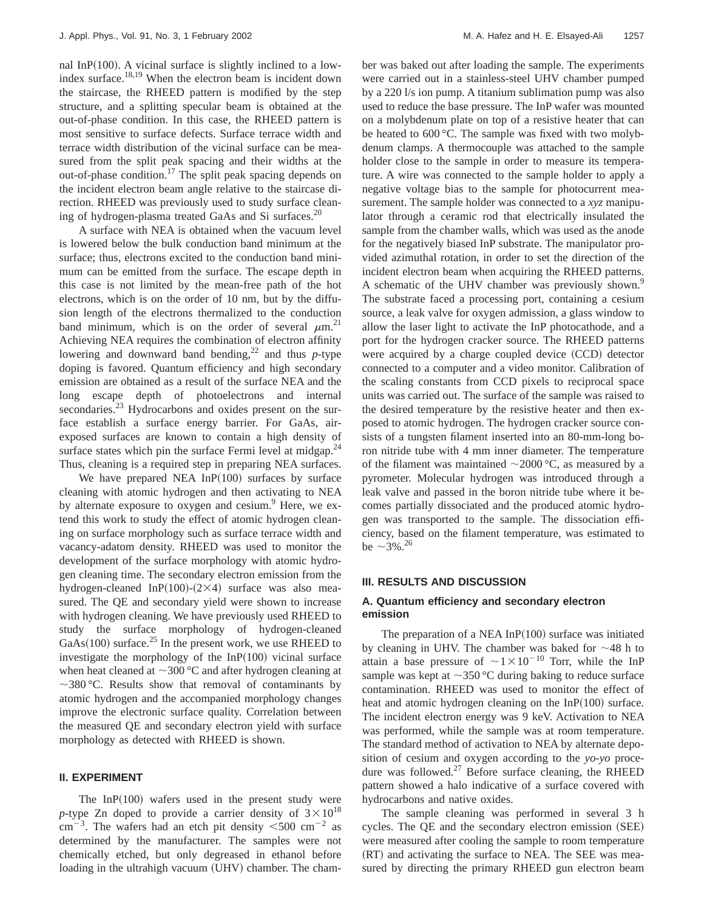nal InP $(100)$ . A vicinal surface is slightly inclined to a lowindex surface.18,19 When the electron beam is incident down the staircase, the RHEED pattern is modified by the step structure, and a splitting specular beam is obtained at the out-of-phase condition. In this case, the RHEED pattern is most sensitive to surface defects. Surface terrace width and terrace width distribution of the vicinal surface can be measured from the split peak spacing and their widths at the out-of-phase condition.<sup>17</sup> The split peak spacing depends on the incident electron beam angle relative to the staircase direction. RHEED was previously used to study surface cleaning of hydrogen-plasma treated GaAs and Si surfaces.<sup>20</sup>

A surface with NEA is obtained when the vacuum level is lowered below the bulk conduction band minimum at the surface; thus, electrons excited to the conduction band minimum can be emitted from the surface. The escape depth in this case is not limited by the mean-free path of the hot electrons, which is on the order of 10 nm, but by the diffusion length of the electrons thermalized to the conduction band minimum, which is on the order of several  $\mu$ m.<sup>21</sup> Achieving NEA requires the combination of electron affinity lowering and downward band bending,<sup>22</sup> and thus  $p$ -type doping is favored. Quantum efficiency and high secondary emission are obtained as a result of the surface NEA and the long escape depth of photoelectrons and internal secondaries.<sup>23</sup> Hydrocarbons and oxides present on the surface establish a surface energy barrier. For GaAs, airexposed surfaces are known to contain a high density of surface states which pin the surface Fermi level at midgap. $^{24}$ Thus, cleaning is a required step in preparing NEA surfaces.

We have prepared NEA In $P(100)$  surfaces by surface cleaning with atomic hydrogen and then activating to NEA by alternate exposure to oxygen and cesium.<sup>9</sup> Here, we extend this work to study the effect of atomic hydrogen cleaning on surface morphology such as surface terrace width and vacancy-adatom density. RHEED was used to monitor the development of the surface morphology with atomic hydrogen cleaning time. The secondary electron emission from the hydrogen-cleaned InP $(100)-(2\times4)$  surface was also measured. The QE and secondary yield were shown to increase with hydrogen cleaning. We have previously used RHEED to study the surface morphology of hydrogen-cleaned GaAs $(100)$  surface.<sup>25</sup> In the present work, we use RHEED to investigate the morphology of the  $InP(100)$  vicinal surface when heat cleaned at  $\sim$ 300 °C and after hydrogen cleaning at  $\sim$ 380 °C. Results show that removal of contaminants by atomic hydrogen and the accompanied morphology changes improve the electronic surface quality. Correlation between the measured QE and secondary electron yield with surface morphology as detected with RHEED is shown.

# **II. EXPERIMENT**

The In $P(100)$  wafers used in the present study were *p*-type Zn doped to provide a carrier density of  $3 \times 10^{18}$  $\text{cm}^{-3}$ . The wafers had an etch pit density  $\leq 500 \text{ cm}^{-2}$  as determined by the manufacturer. The samples were not chemically etched, but only degreased in ethanol before loading in the ultrahigh vacuum (UHV) chamber. The chamber was baked out after loading the sample. The experiments were carried out in a stainless-steel UHV chamber pumped by a 220 l/s ion pump. A titanium sublimation pump was also used to reduce the base pressure. The InP wafer was mounted on a molybdenum plate on top of a resistive heater that can be heated to 600 °C. The sample was fixed with two molybdenum clamps. A thermocouple was attached to the sample holder close to the sample in order to measure its temperature. A wire was connected to the sample holder to apply a negative voltage bias to the sample for photocurrent measurement. The sample holder was connected to a *xyz* manipulator through a ceramic rod that electrically insulated the sample from the chamber walls, which was used as the anode for the negatively biased InP substrate. The manipulator provided azimuthal rotation, in order to set the direction of the incident electron beam when acquiring the RHEED patterns. A schematic of the UHV chamber was previously shown.<sup>9</sup> The substrate faced a processing port, containing a cesium source, a leak valve for oxygen admission, a glass window to allow the laser light to activate the InP photocathode, and a port for the hydrogen cracker source. The RHEED patterns were acquired by a charge coupled device  $(CCD)$  detector connected to a computer and a video monitor. Calibration of the scaling constants from CCD pixels to reciprocal space units was carried out. The surface of the sample was raised to the desired temperature by the resistive heater and then exposed to atomic hydrogen. The hydrogen cracker source consists of a tungsten filament inserted into an 80-mm-long boron nitride tube with 4 mm inner diameter. The temperature of the filament was maintained  $\sim$ 2000 °C, as measured by a pyrometer. Molecular hydrogen was introduced through a leak valve and passed in the boron nitride tube where it becomes partially dissociated and the produced atomic hydrogen was transported to the sample. The dissociation efficiency, based on the filament temperature, was estimated to be  $\sim$  3%.<sup>26</sup>

### **III. RESULTS AND DISCUSSION**

## **A. Quantum efficiency and secondary electron emission**

The preparation of a NEA In $P(100)$  surface was initiated by cleaning in UHV. The chamber was baked for  $\sim$ 48 h to attain a base pressure of  $\sim 1 \times 10^{-10}$  Torr, while the InP sample was kept at  $\sim$ 350 °C during baking to reduce surface contamination. RHEED was used to monitor the effect of heat and atomic hydrogen cleaning on the  $InP(100)$  surface. The incident electron energy was 9 keV. Activation to NEA was performed, while the sample was at room temperature. The standard method of activation to NEA by alternate deposition of cesium and oxygen according to the *yo-yo* procedure was followed.<sup>27</sup> Before surface cleaning, the RHEED pattern showed a halo indicative of a surface covered with hydrocarbons and native oxides.

The sample cleaning was performed in several 3 h cycles. The QE and the secondary electron emission (SEE) were measured after cooling the sample to room temperature (RT) and activating the surface to NEA. The SEE was measured by directing the primary RHEED gun electron beam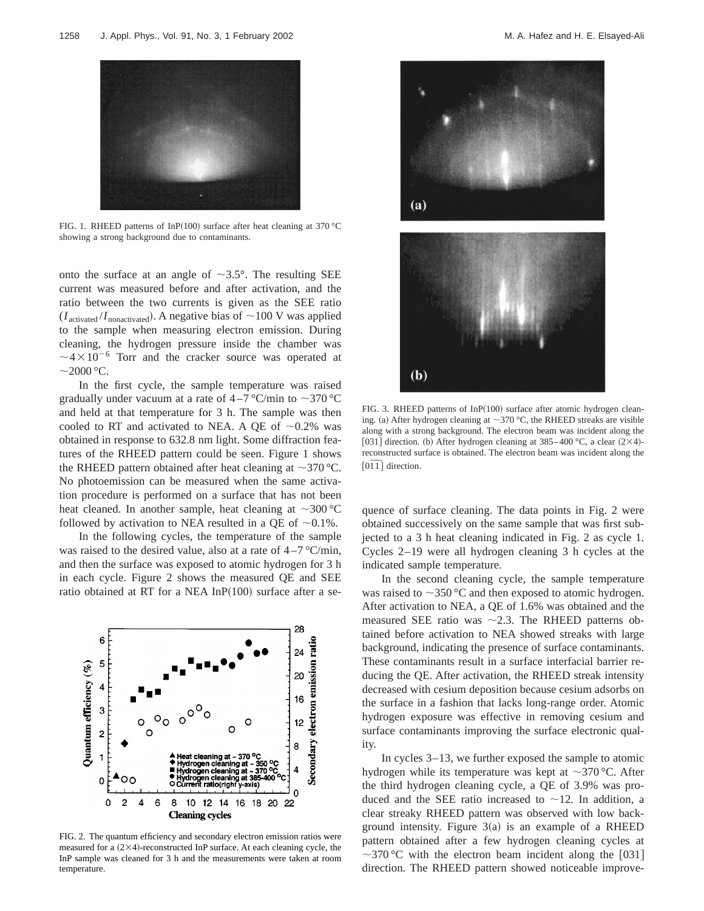

FIG. 1. RHEED patterns of InP(100) surface after heat cleaning at 370 °C showing a strong background due to contaminants.

onto the surface at an angle of  $\sim$ 3.5°. The resulting SEE current was measured before and after activation, and the ratio between the two currents is given as the SEE ratio  $(I_{\text{activated}}/I_{\text{nonactivated}})$ . A negative bias of  $\sim$ 100 V was applied to the sample when measuring electron emission. During cleaning, the hydrogen pressure inside the chamber was  $\sim$ 4 $\times$ 10<sup>-6</sup> Torr and the cracker source was operated at  $\sim$ 2000 °C.

In the first cycle, the sample temperature was raised gradually under vacuum at a rate of  $4-7$  °C/min to  $\sim$ 370 °C and held at that temperature for 3 h. The sample was then cooled to RT and activated to NEA. A QE of  $\sim 0.2\%$  was obtained in response to 632.8 nm light. Some diffraction features of the RHEED pattern could be seen. Figure 1 shows the RHEED pattern obtained after heat cleaning at  $\sim$ 370 °C. No photoemission can be measured when the same activation procedure is performed on a surface that has not been heat cleaned. In another sample, heat cleaning at  $\sim$ 300 °C followed by activation to NEA resulted in a QE of  $\sim 0.1\%$ .

In the following cycles, the temperature of the sample was raised to the desired value, also at a rate of  $4-7$  °C/min, and then the surface was exposed to atomic hydrogen for 3 h in each cycle. Figure 2 shows the measured QE and SEE ratio obtained at RT for a NEA In $P(100)$  surface after a se-



FIG. 2. The quantum efficiency and secondary electron emission ratios were measured for a  $(2\times4)$ -reconstructed InP surface. At each cleaning cycle, the InP sample was cleaned for 3 h and the measurements were taken at room temperature.



FIG. 3. RHEED patterns of  $InP(100)$  surface after atomic hydrogen cleaning. (a) After hydrogen cleaning at  $\sim$ 370 °C, the RHEED streaks are visible along with a strong background. The electron beam was incident along the [031] direction. (b) After hydrogen cleaning at  $385-400$  °C, a clear  $(2\times4)$ reconstructed surface is obtained. The electron beam was incident along the  $[0\overline{1}\overline{1}]$  direction.

quence of surface cleaning. The data points in Fig. 2 were obtained successively on the same sample that was first subjected to a 3 h heat cleaning indicated in Fig. 2 as cycle 1. Cycles 2–19 were all hydrogen cleaning 3 h cycles at the indicated sample temperature.

In the second cleaning cycle, the sample temperature was raised to  $\sim$ 350 °C and then exposed to atomic hydrogen. After activation to NEA, a QE of 1.6% was obtained and the measured SEE ratio was  $\sim$  2.3. The RHEED patterns obtained before activation to NEA showed streaks with large background, indicating the presence of surface contaminants. These contaminants result in a surface interfacial barrier reducing the QE. After activation, the RHEED streak intensity decreased with cesium deposition because cesium adsorbs on the surface in a fashion that lacks long-range order. Atomic hydrogen exposure was effective in removing cesium and surface contaminants improving the surface electronic quality.

In cycles 3–13, we further exposed the sample to atomic hydrogen while its temperature was kept at  $\sim$ 370 °C. After the third hydrogen cleaning cycle, a QE of 3.9% was produced and the SEE ratio increased to  $\sim$ 12. In addition, a clear streaky RHEED pattern was observed with low background intensity. Figure  $3(a)$  is an example of a RHEED pattern obtained after a few hydrogen cleaning cycles at  $\sim$ 370 °C with the electron beam incident along the [031] direction. The RHEED pattern showed noticeable improve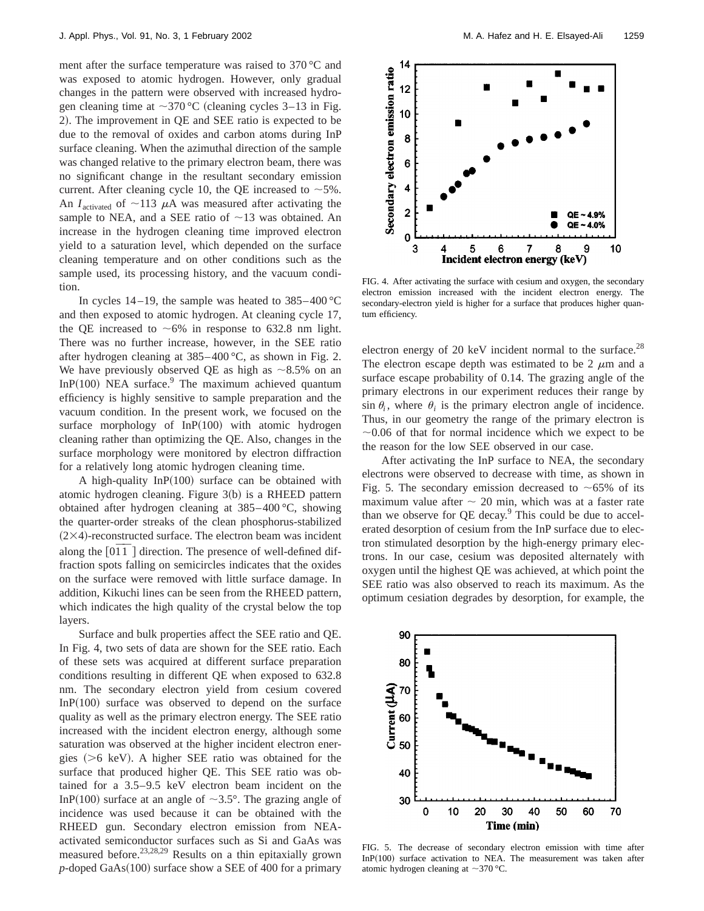ment after the surface temperature was raised to 370 °C and was exposed to atomic hydrogen. However, only gradual changes in the pattern were observed with increased hydrogen cleaning time at  $\sim$ 370 °C (cleaning cycles 3–13 in Fig. 2). The improvement in QE and SEE ratio is expected to be due to the removal of oxides and carbon atoms during InP surface cleaning. When the azimuthal direction of the sample was changed relative to the primary electron beam, there was no significant change in the resultant secondary emission current. After cleaning cycle 10, the QE increased to  $~5\%$ . An  $I_{\text{activated}}$  of  $\sim$ 113  $\mu$ A was measured after activating the sample to NEA, and a SEE ratio of  $\sim$ 13 was obtained. An increase in the hydrogen cleaning time improved electron yield to a saturation level, which depended on the surface cleaning temperature and on other conditions such as the sample used, its processing history, and the vacuum condition.

In cycles  $14-19$ , the sample was heated to  $385-400^{\circ}$ C and then exposed to atomic hydrogen. At cleaning cycle 17, the QE increased to  $~6\%$  in response to 632.8 nm light. There was no further increase, however, in the SEE ratio after hydrogen cleaning at 385–400 °C, as shown in Fig. 2. We have previously observed QE as high as  $\sim 8.5\%$  on an In $P(100)$  NEA surface.<sup>9</sup> The maximum achieved quantum efficiency is highly sensitive to sample preparation and the vacuum condition. In the present work, we focused on the surface morphology of  $InP(100)$  with atomic hydrogen cleaning rather than optimizing the QE. Also, changes in the surface morphology were monitored by electron diffraction for a relatively long atomic hydrogen cleaning time.

A high-quality  $InP(100)$  surface can be obtained with atomic hydrogen cleaning. Figure  $3(b)$  is a RHEED pattern obtained after hydrogen cleaning at 385–400 °C, showing the quarter-order streaks of the clean phosphorus-stabilized  $(2\times4)$ -reconstructed surface. The electron beam was incident along the [0<sup>T</sup><sup>T</sup>] direction. The presence of well-defined diffraction spots falling on semicircles indicates that the oxides on the surface were removed with little surface damage. In addition, Kikuchi lines can be seen from the RHEED pattern, which indicates the high quality of the crystal below the top layers.

Surface and bulk properties affect the SEE ratio and QE. In Fig. 4, two sets of data are shown for the SEE ratio. Each of these sets was acquired at different surface preparation conditions resulting in different QE when exposed to 632.8 nm. The secondary electron yield from cesium covered In $P(100)$  surface was observed to depend on the surface quality as well as the primary electron energy. The SEE ratio increased with the incident electron energy, although some saturation was observed at the higher incident electron energies  $(>6 \text{ keV})$ . A higher SEE ratio was obtained for the surface that produced higher QE. This SEE ratio was obtained for a 3.5–9.5 keV electron beam incident on the InP(100) surface at an angle of  $\sim$ 3.5°. The grazing angle of incidence was used because it can be obtained with the RHEED gun. Secondary electron emission from NEAactivated semiconductor surfaces such as Si and GaAs was measured before.23,28,29 Results on a thin epitaxially grown  $p$ -doped GaAs $(100)$  surface show a SEE of 400 for a primary



FIG. 4. After activating the surface with cesium and oxygen, the secondary electron emission increased with the incident electron energy. The secondary-electron yield is higher for a surface that produces higher quantum efficiency.

electron energy of 20 keV incident normal to the surface.<sup>28</sup> The electron escape depth was estimated to be 2  $\mu$ m and a surface escape probability of 0.14. The grazing angle of the primary electrons in our experiment reduces their range by  $\sin \theta_i$ , where  $\theta_i$  is the primary electron angle of incidence. Thus, in our geometry the range of the primary electron is  $\sim$ 0.06 of that for normal incidence which we expect to be the reason for the low SEE observed in our case.

After activating the InP surface to NEA, the secondary electrons were observed to decrease with time, as shown in Fig. 5. The secondary emission decreased to  $\sim 65\%$  of its maximum value after  $\sim$  20 min, which was at a faster rate than we observe for  $QE$  decay. $9$  This could be due to accelerated desorption of cesium from the InP surface due to electron stimulated desorption by the high-energy primary electrons. In our case, cesium was deposited alternately with oxygen until the highest QE was achieved, at which point the SEE ratio was also observed to reach its maximum. As the optimum cesiation degrades by desorption, for example, the



FIG. 5. The decrease of secondary electron emission with time after In $P(100)$  surface activation to NEA. The measurement was taken after atomic hydrogen cleaning at  $\sim$ 370 °C.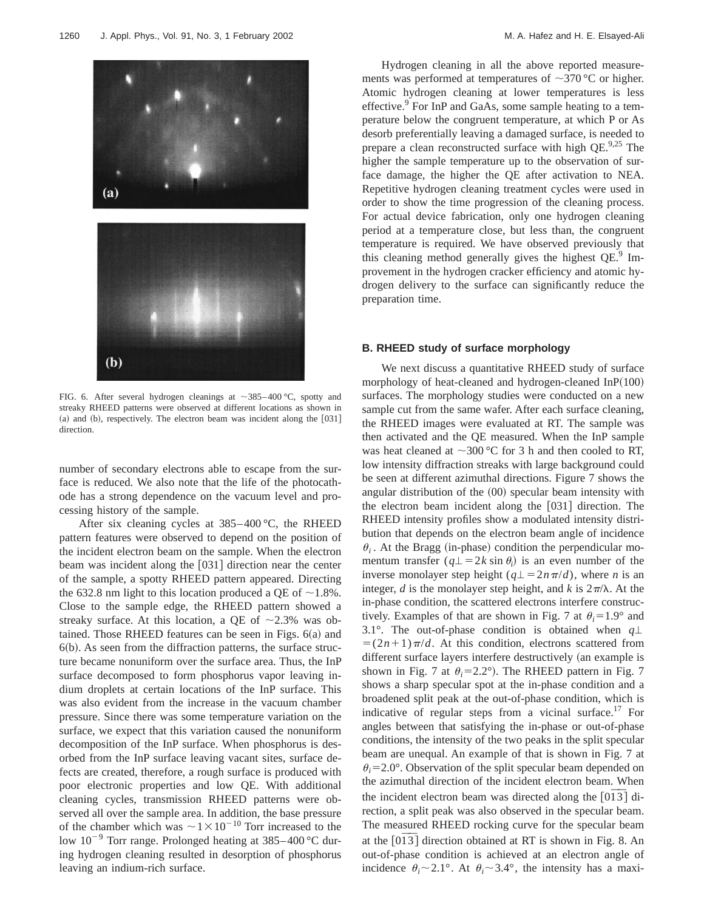

FIG. 6. After several hydrogen cleanings at  $\sim$ 385–400 °C, spotty and streaky RHEED patterns were observed at different locations as shown in  $(a)$  and  $(b)$ , respectively. The electron beam was incident along the  $[031]$ direction.

number of secondary electrons able to escape from the surface is reduced. We also note that the life of the photocathode has a strong dependence on the vacuum level and processing history of the sample.

After six cleaning cycles at 385–400 °C, the RHEED pattern features were observed to depend on the position of the incident electron beam on the sample. When the electron beam was incident along the  $[031]$  direction near the center of the sample, a spotty RHEED pattern appeared. Directing the 632.8 nm light to this location produced a QE of  $\sim$ 1.8%. Close to the sample edge, the RHEED pattern showed a streaky surface. At this location, a QE of  $\sim$ 2.3% was obtained. Those RHEED features can be seen in Figs.  $6(a)$  and  $6(b)$ . As seen from the diffraction patterns, the surface structure became nonuniform over the surface area. Thus, the InP surface decomposed to form phosphorus vapor leaving indium droplets at certain locations of the InP surface. This was also evident from the increase in the vacuum chamber pressure. Since there was some temperature variation on the surface, we expect that this variation caused the nonuniform decomposition of the InP surface. When phosphorus is desorbed from the InP surface leaving vacant sites, surface defects are created, therefore, a rough surface is produced with poor electronic properties and low QE. With additional cleaning cycles, transmission RHEED patterns were observed all over the sample area. In addition, the base pressure of the chamber which was  $\sim1\times10^{-10}$  Torr increased to the low  $10^{-9}$  Torr range. Prolonged heating at 385–400 °C during hydrogen cleaning resulted in desorption of phosphorus leaving an indium-rich surface.

Hydrogen cleaning in all the above reported measurements was performed at temperatures of  $\sim$ 370 °C or higher. Atomic hydrogen cleaning at lower temperatures is less effective.<sup>9</sup> For InP and GaAs, some sample heating to a temperature below the congruent temperature, at which P or As desorb preferentially leaving a damaged surface, is needed to prepare a clean reconstructed surface with high  $QE^{9,25}$  The higher the sample temperature up to the observation of surface damage, the higher the QE after activation to NEA. Repetitive hydrogen cleaning treatment cycles were used in order to show the time progression of the cleaning process. For actual device fabrication, only one hydrogen cleaning period at a temperature close, but less than, the congruent temperature is required. We have observed previously that this cleaning method generally gives the highest  $QE^9$  Improvement in the hydrogen cracker efficiency and atomic hydrogen delivery to the surface can significantly reduce the preparation time.

### **B. RHEED study of surface morphology**

We next discuss a quantitative RHEED study of surface morphology of heat-cleaned and hydrogen-cleaned  $InP(100)$ surfaces. The morphology studies were conducted on a new sample cut from the same wafer. After each surface cleaning, the RHEED images were evaluated at RT. The sample was then activated and the QE measured. When the InP sample was heat cleaned at  $\sim$ 300 °C for 3 h and then cooled to RT, low intensity diffraction streaks with large background could be seen at different azimuthal directions. Figure 7 shows the angular distribution of the  $(00)$  specular beam intensity with the electron beam incident along the  $[031]$  direction. The RHEED intensity profiles show a modulated intensity distribution that depends on the electron beam angle of incidence  $\theta_i$ . At the Bragg (in-phase) condition the perpendicular momentum transfer  $(q \perp = 2k \sin \theta_i)$  is an even number of the inverse monolayer step height ( $q\perp = 2n\pi/d$ ), where *n* is an integer, *d* is the monolayer step height, and *k* is  $2\pi/\lambda$ . At the in-phase condition, the scattered electrons interfere constructively. Examples of that are shown in Fig. 7 at  $\theta_i = 1.9^\circ$  and 3.1°. The out-of-phase condition is obtained when  $q\perp$  $= (2n+1)\pi/d$ . At this condition, electrons scattered from different surface layers interfere destructively (an example is shown in Fig. 7 at  $\theta_i = 2.2^\circ$ ). The RHEED pattern in Fig. 7 shows a sharp specular spot at the in-phase condition and a broadened split peak at the out-of-phase condition, which is indicative of regular steps from a vicinal surface.<sup>17</sup> For angles between that satisfying the in-phase or out-of-phase conditions, the intensity of the two peaks in the split specular beam are unequal. An example of that is shown in Fig. 7 at  $\theta_i = 2.0^\circ$ . Observation of the split specular beam depended on the azimuthal direction of the incident electron beam. When the incident electron beam was directed along the  $[0\overline{13}]$  direction, a split peak was also observed in the specular beam. The measured RHEED rocking curve for the specular beam at the  $[0\overline{13}]$  direction obtained at RT is shown in Fig. 8. An out-of-phase condition is achieved at an electron angle of incidence  $\theta_i \sim 2.1^\circ$ . At  $\theta_i \sim 3.4^\circ$ , the intensity has a maxi-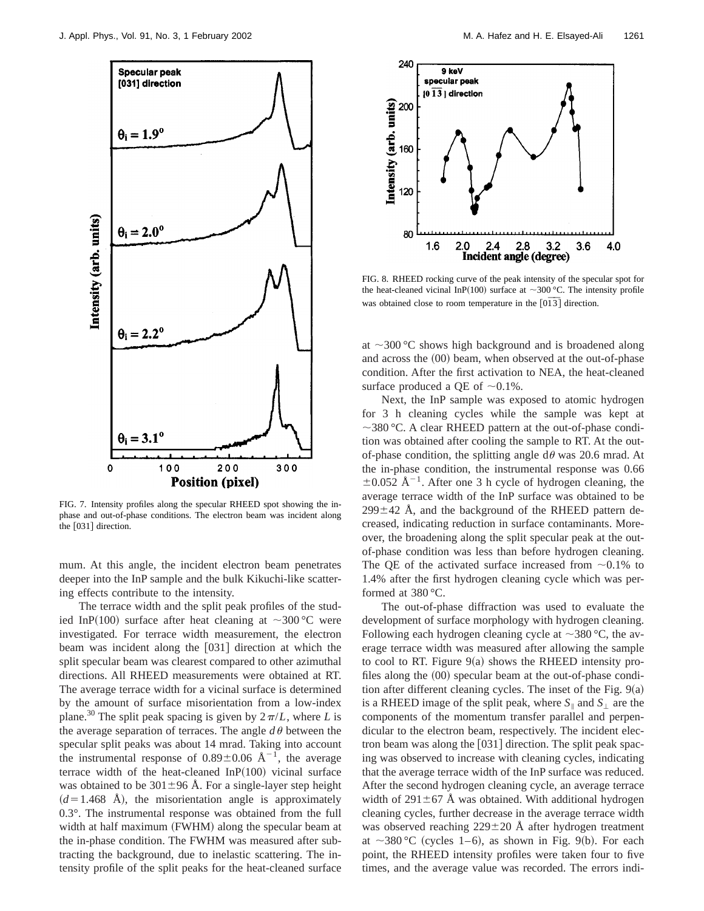

FIG. 7. Intensity profiles along the specular RHEED spot showing the inphase and out-of-phase conditions. The electron beam was incident along the [031] direction.

mum. At this angle, the incident electron beam penetrates deeper into the InP sample and the bulk Kikuchi-like scattering effects contribute to the intensity.

The terrace width and the split peak profiles of the studied InP(100) surface after heat cleaning at  $\sim$ 300 °C were investigated. For terrace width measurement, the electron beam was incident along the  $[031]$  direction at which the split specular beam was clearest compared to other azimuthal directions. All RHEED measurements were obtained at RT. The average terrace width for a vicinal surface is determined by the amount of surface misorientation from a low-index plane.<sup>30</sup> The split peak spacing is given by  $2\pi/L$ , where *L* is the average separation of terraces. The angle  $d\theta$  between the specular split peaks was about 14 mrad. Taking into account the instrumental response of  $0.89 \pm 0.06$  Å<sup>-1</sup>, the average terrace width of the heat-cleaned In $P(100)$  vicinal surface was obtained to be  $301\pm96$  Å. For a single-layer step height  $(d=1.468$  Å), the misorientation angle is approximately 0.3°. The instrumental response was obtained from the full width at half maximum (FWHM) along the specular beam at the in-phase condition. The FWHM was measured after subtracting the background, due to inelastic scattering. The intensity profile of the split peaks for the heat-cleaned surface



FIG. 8. RHEED rocking curve of the peak intensity of the specular spot for the heat-cleaned vicinal InP(100) surface at  $\sim$ 300 °C. The intensity profile was obtained close to room temperature in the  $[0\overline{13}]$  direction.

at  $\sim$ 300 °C shows high background and is broadened along and across the  $(00)$  beam, when observed at the out-of-phase condition. After the first activation to NEA, the heat-cleaned surface produced a QE of  $\sim 0.1\%$ .

Next, the InP sample was exposed to atomic hydrogen for 3 h cleaning cycles while the sample was kept at  $\sim$ 380 °C. A clear RHEED pattern at the out-of-phase condition was obtained after cooling the sample to RT. At the outof-phase condition, the splitting angle  $d\theta$  was 20.6 mrad. At the in-phase condition, the instrumental response was 0.66  $\pm 0.052$  Å<sup>-1</sup>. After one 3 h cycle of hydrogen cleaning, the average terrace width of the InP surface was obtained to be  $299\pm42$  Å, and the background of the RHEED pattern decreased, indicating reduction in surface contaminants. Moreover, the broadening along the split specular peak at the outof-phase condition was less than before hydrogen cleaning. The QE of the activated surface increased from  $\sim 0.1\%$  to 1.4% after the first hydrogen cleaning cycle which was performed at 380 °C.

The out-of-phase diffraction was used to evaluate the development of surface morphology with hydrogen cleaning. Following each hydrogen cleaning cycle at  $\sim$ 380 °C, the average terrace width was measured after allowing the sample to cool to RT. Figure  $9(a)$  shows the RHEED intensity profiles along the  $(00)$  specular beam at the out-of-phase condition after different cleaning cycles. The inset of the Fig.  $9(a)$ is a RHEED image of the split peak, where  $S_{\parallel}$  and  $S_{\perp}$  are the components of the momentum transfer parallel and perpendicular to the electron beam, respectively. The incident electron beam was along the  $[031]$  direction. The split peak spacing was observed to increase with cleaning cycles, indicating that the average terrace width of the InP surface was reduced. After the second hydrogen cleaning cycle, an average terrace width of  $291 \pm 67$  Å was obtained. With additional hydrogen cleaning cycles, further decrease in the average terrace width was observed reaching  $229 \pm 20$  Å after hydrogen treatment at  $\sim$ 380 °C (cycles 1–6), as shown in Fig. 9(b). For each point, the RHEED intensity profiles were taken four to five times, and the average value was recorded. The errors indi-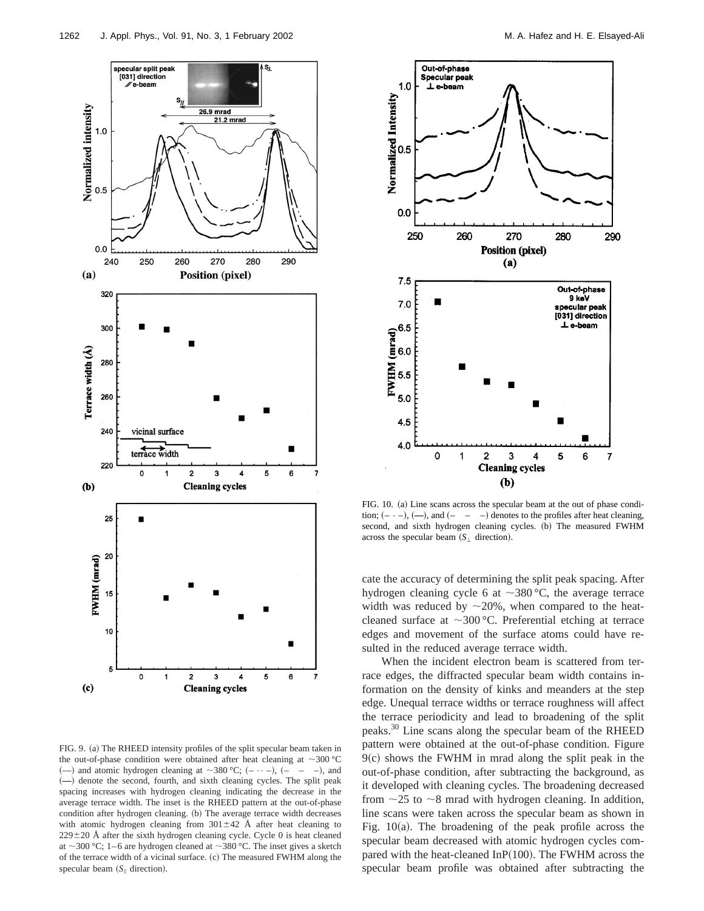

FIG. 9. (a) The RHEED intensity profiles of the split specular beam taken in the out-of-phase condition were obtained after heat cleaning at  $\sim$ 300 °C (--) and atomic hydrogen cleaning at  $\sim$ 380 °C; (- · · -), (- · - -), and ~**—**! denote the second, fourth, and sixth cleaning cycles. The split peak spacing increases with hydrogen cleaning indicating the decrease in the average terrace width. The inset is the RHEED pattern at the out-of-phase condition after hydrogen cleaning. (b) The average terrace width decreases with atomic hydrogen cleaning from  $301 \pm 42$  Å after heat cleaning to  $229\pm20$  Å after the sixth hydrogen cleaning cycle. Cycle 0 is heat cleaned at  $\sim$ 300 °C; 1–6 are hydrogen cleaned at  $\sim$ 380 °C. The inset gives a sketch of the terrace width of a vicinal surface. (c) The measured FWHM along the specular beam  $(S_{\parallel}$  direction).



FIG. 10. (a) Line scans across the specular beam at the out of phase condition;  $(- -)$ ,  $(-)$ , and  $(- -)$  denotes to the profiles after heat cleaning, second, and sixth hydrogen cleaning cycles. (b) The measured FWHM across the specular beam  $(S_1$  direction).

cate the accuracy of determining the split peak spacing. After hydrogen cleaning cycle 6 at  $\sim$ 380 °C, the average terrace width was reduced by  $\sim$ 20%, when compared to the heatcleaned surface at  $\sim$ 300 °C. Preferential etching at terrace edges and movement of the surface atoms could have resulted in the reduced average terrace width.

When the incident electron beam is scattered from terrace edges, the diffracted specular beam width contains information on the density of kinks and meanders at the step edge. Unequal terrace widths or terrace roughness will affect the terrace periodicity and lead to broadening of the split peaks.30 Line scans along the specular beam of the RHEED pattern were obtained at the out-of-phase condition. Figure  $9(c)$  shows the FWHM in mrad along the split peak in the out-of-phase condition, after subtracting the background, as it developed with cleaning cycles. The broadening decreased from  $\sim$ 25 to  $\sim$ 8 mrad with hydrogen cleaning. In addition, line scans were taken across the specular beam as shown in Fig.  $10(a)$ . The broadening of the peak profile across the specular beam decreased with atomic hydrogen cycles compared with the heat-cleaned InP $(100)$ . The FWHM across the specular beam profile was obtained after subtracting the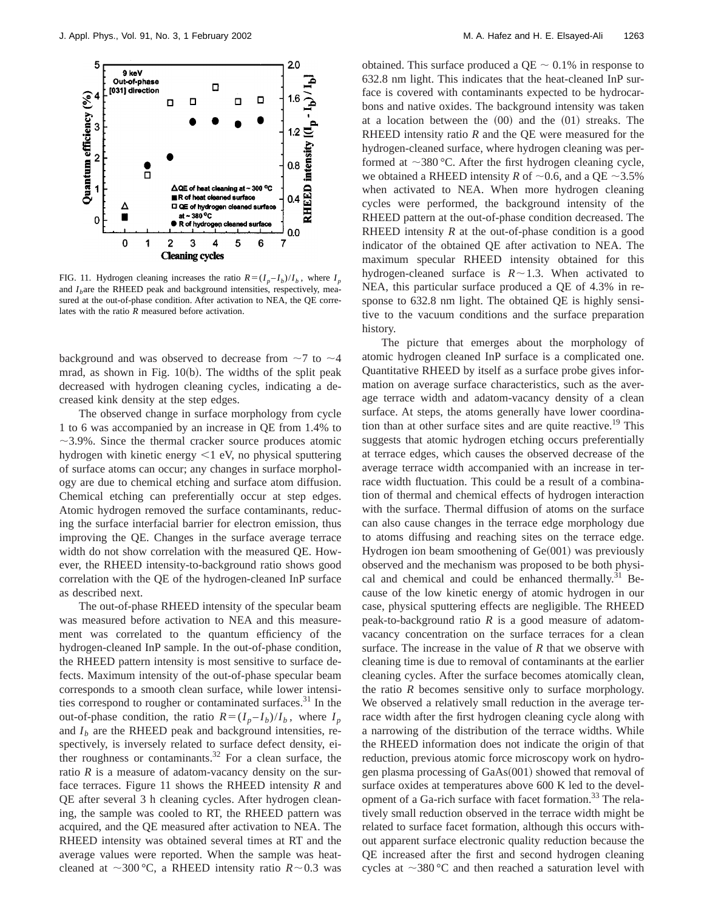

FIG. 11. Hydrogen cleaning increases the ratio  $R = (I_p - I_b)/I_b$ , where  $I_p$ and  $I<sub>b</sub>$ are the RHEED peak and background intensities, respectively, measured at the out-of-phase condition. After activation to NEA, the QE correlates with the ratio *R* measured before activation.

background and was observed to decrease from  $\sim$ 7 to  $\sim$ 4 mrad, as shown in Fig.  $10(b)$ . The widths of the split peak decreased with hydrogen cleaning cycles, indicating a decreased kink density at the step edges.

The observed change in surface morphology from cycle 1 to 6 was accompanied by an increase in QE from 1.4% to  $\sim$ 3.9%. Since the thermal cracker source produces atomic hydrogen with kinetic energy  $<$ 1 eV, no physical sputtering of surface atoms can occur; any changes in surface morphology are due to chemical etching and surface atom diffusion. Chemical etching can preferentially occur at step edges. Atomic hydrogen removed the surface contaminants, reducing the surface interfacial barrier for electron emission, thus improving the QE. Changes in the surface average terrace width do not show correlation with the measured QE. However, the RHEED intensity-to-background ratio shows good correlation with the QE of the hydrogen-cleaned InP surface as described next.

The out-of-phase RHEED intensity of the specular beam was measured before activation to NEA and this measurement was correlated to the quantum efficiency of the hydrogen-cleaned InP sample. In the out-of-phase condition, the RHEED pattern intensity is most sensitive to surface defects. Maximum intensity of the out-of-phase specular beam corresponds to a smooth clean surface, while lower intensities correspond to rougher or contaminated surfaces.<sup>31</sup> In the out-of-phase condition, the ratio  $R = (I_p - I_b)/I_b$ , where  $I_p$ and  $I<sub>b</sub>$  are the RHEED peak and background intensities, respectively, is inversely related to surface defect density, either roughness or contaminants.<sup>32</sup> For a clean surface, the ratio  $R$  is a measure of adatom-vacancy density on the surface terraces. Figure 11 shows the RHEED intensity *R* and QE after several 3 h cleaning cycles. After hydrogen cleaning, the sample was cooled to RT, the RHEED pattern was acquired, and the QE measured after activation to NEA. The RHEED intensity was obtained several times at RT and the average values were reported. When the sample was heatcleaned at  $\sim$ 300 °C, a RHEED intensity ratio *R* $\sim$ 0.3 was obtained. This surface produced a  $QE \sim 0.1\%$  in response to 632.8 nm light. This indicates that the heat-cleaned InP surface is covered with contaminants expected to be hydrocarbons and native oxides. The background intensity was taken at a location between the  $(00)$  and the  $(01)$  streaks. The RHEED intensity ratio *R* and the QE were measured for the hydrogen-cleaned surface, where hydrogen cleaning was performed at  $\sim$ 380 °C. After the first hydrogen cleaning cycle, we obtained a RHEED intensity *R* of  $\sim$  0.6, and a QE  $\sim$  3.5% when activated to NEA. When more hydrogen cleaning cycles were performed, the background intensity of the RHEED pattern at the out-of-phase condition decreased. The RHEED intensity *R* at the out-of-phase condition is a good indicator of the obtained QE after activation to NEA. The maximum specular RHEED intensity obtained for this hydrogen-cleaned surface is  $R \sim 1.3$ . When activated to NEA, this particular surface produced a QE of 4.3% in response to 632.8 nm light. The obtained QE is highly sensitive to the vacuum conditions and the surface preparation history.

The picture that emerges about the morphology of atomic hydrogen cleaned InP surface is a complicated one. Quantitative RHEED by itself as a surface probe gives information on average surface characteristics, such as the average terrace width and adatom-vacancy density of a clean surface. At steps, the atoms generally have lower coordination than at other surface sites and are quite reactive.<sup>19</sup> This suggests that atomic hydrogen etching occurs preferentially at terrace edges, which causes the observed decrease of the average terrace width accompanied with an increase in terrace width fluctuation. This could be a result of a combination of thermal and chemical effects of hydrogen interaction with the surface. Thermal diffusion of atoms on the surface can also cause changes in the terrace edge morphology due to atoms diffusing and reaching sites on the terrace edge. Hydrogen ion beam smoothening of  $Ge(001)$  was previously observed and the mechanism was proposed to be both physical and chemical and could be enhanced thermally.<sup>31</sup> Because of the low kinetic energy of atomic hydrogen in our case, physical sputtering effects are negligible. The RHEED peak-to-background ratio *R* is a good measure of adatomvacancy concentration on the surface terraces for a clean surface. The increase in the value of *R* that we observe with cleaning time is due to removal of contaminants at the earlier cleaning cycles. After the surface becomes atomically clean, the ratio *R* becomes sensitive only to surface morphology. We observed a relatively small reduction in the average terrace width after the first hydrogen cleaning cycle along with a narrowing of the distribution of the terrace widths. While the RHEED information does not indicate the origin of that reduction, previous atomic force microscopy work on hydrogen plasma processing of  $GaAs(001)$  showed that removal of surface oxides at temperatures above 600 K led to the development of a Ga-rich surface with facet formation.<sup>33</sup> The relatively small reduction observed in the terrace width might be related to surface facet formation, although this occurs without apparent surface electronic quality reduction because the QE increased after the first and second hydrogen cleaning cycles at  $\sim$ 380 °C and then reached a saturation level with